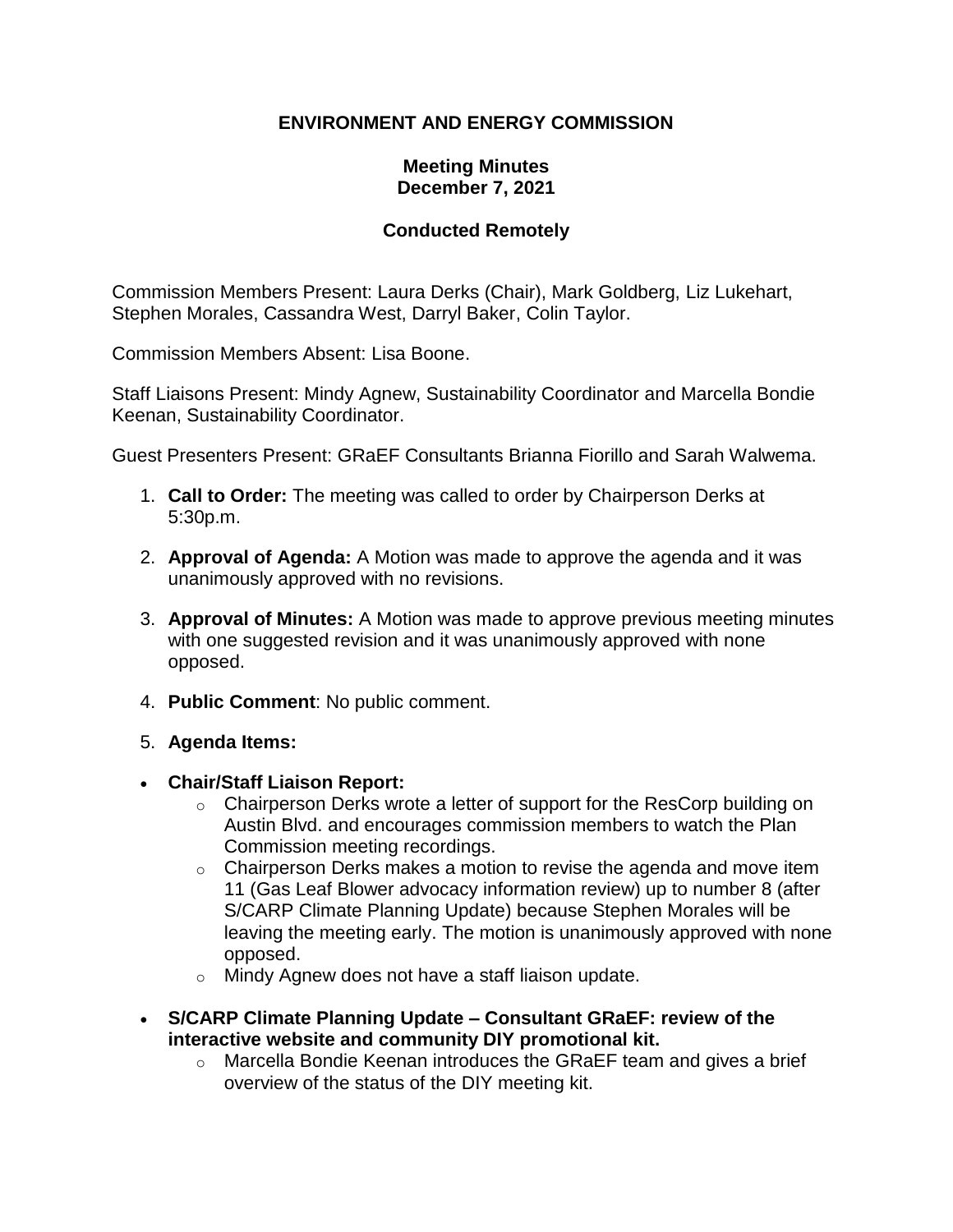# **ENVIRONMENT AND ENERGY COMMISSION**

### **Meeting Minutes December 7, 2021**

## **Conducted Remotely**

Commission Members Present: Laura Derks (Chair), Mark Goldberg, Liz Lukehart, Stephen Morales, Cassandra West, Darryl Baker, Colin Taylor.

Commission Members Absent: Lisa Boone.

Staff Liaisons Present: Mindy Agnew, Sustainability Coordinator and Marcella Bondie Keenan, Sustainability Coordinator.

Guest Presenters Present: GRaEF Consultants Brianna Fiorillo and Sarah Walwema.

- 1. **Call to Order:** The meeting was called to order by Chairperson Derks at 5:30p.m.
- 2. **Approval of Agenda:** A Motion was made to approve the agenda and it was unanimously approved with no revisions.
- 3. **Approval of Minutes:** A Motion was made to approve previous meeting minutes with one suggested revision and it was unanimously approved with none opposed.
- 4. **Public Comment**: No public comment.
- 5. **Agenda Items:**
- **Chair/Staff Liaison Report:**
	- $\circ$  Chairperson Derks wrote a letter of support for the ResCorp building on Austin Blvd. and encourages commission members to watch the Plan Commission meeting recordings.
	- $\circ$  Chairperson Derks makes a motion to revise the agenda and move item 11 (Gas Leaf Blower advocacy information review) up to number 8 (after S/CARP Climate Planning Update) because Stephen Morales will be leaving the meeting early. The motion is unanimously approved with none opposed.
	- o Mindy Agnew does not have a staff liaison update.
- **S/CARP Climate Planning Update – Consultant GRaEF: review of the interactive website and community DIY promotional kit.** 
	- o Marcella Bondie Keenan introduces the GRaEF team and gives a brief overview of the status of the DIY meeting kit.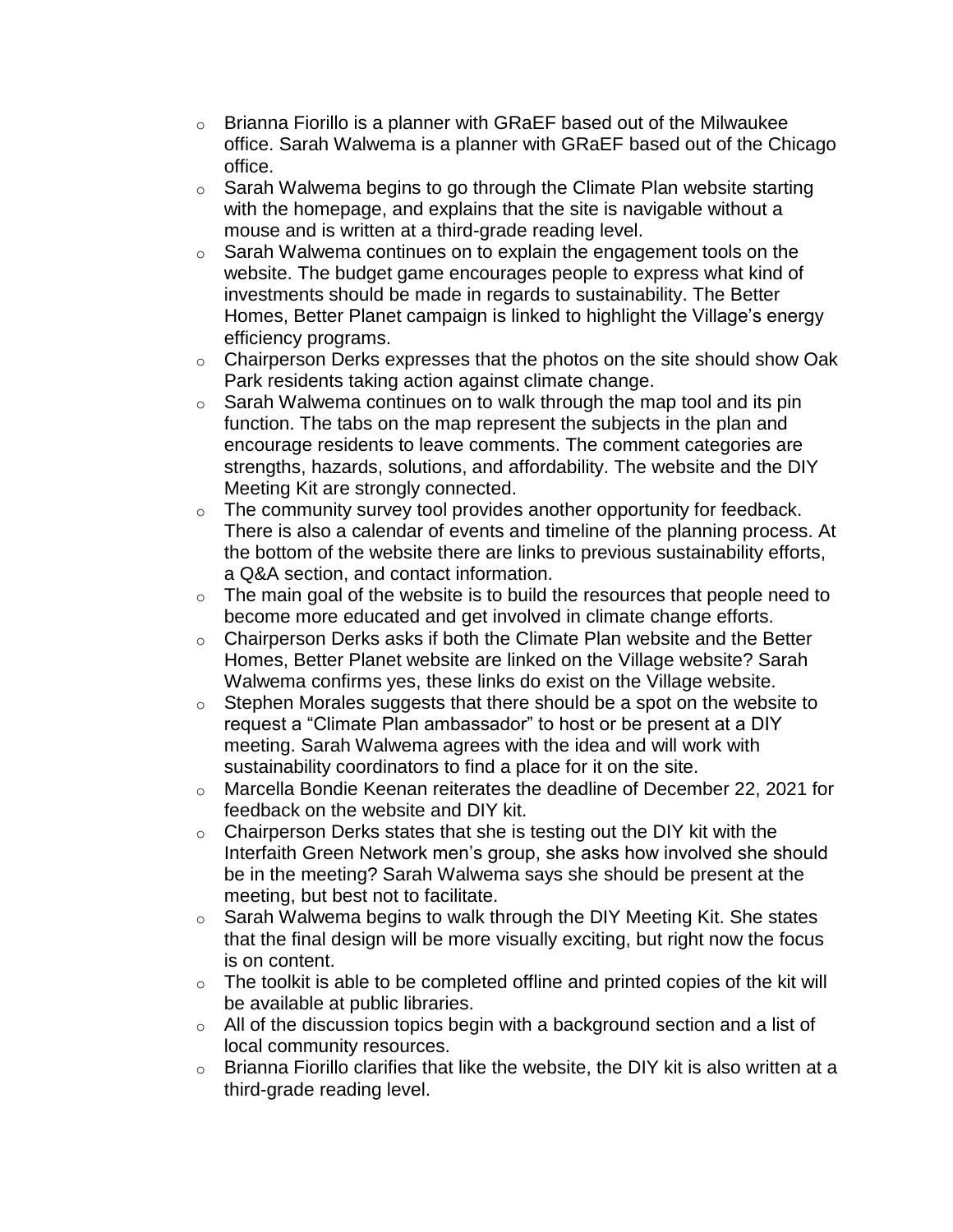- $\circ$  Brianna Fiorillo is a planner with GRaEF based out of the Milwaukee office. Sarah Walwema is a planner with GRaEF based out of the Chicago office.
- $\circ$  Sarah Walwema begins to go through the Climate Plan website starting with the homepage, and explains that the site is navigable without a mouse and is written at a third-grade reading level.
- $\circ$  Sarah Walwema continues on to explain the engagement tools on the website. The budget game encourages people to express what kind of investments should be made in regards to sustainability. The Better Homes, Better Planet campaign is linked to highlight the Village's energy efficiency programs.
- o Chairperson Derks expresses that the photos on the site should show Oak Park residents taking action against climate change.
- $\circ$  Sarah Walwema continues on to walk through the map tool and its pin function. The tabs on the map represent the subjects in the plan and encourage residents to leave comments. The comment categories are strengths, hazards, solutions, and affordability. The website and the DIY Meeting Kit are strongly connected.
- $\circ$  The community survey tool provides another opportunity for feedback. There is also a calendar of events and timeline of the planning process. At the bottom of the website there are links to previous sustainability efforts, a Q&A section, and contact information.
- $\circ$  The main goal of the website is to build the resources that people need to become more educated and get involved in climate change efforts.
- $\circ$  Chairperson Derks asks if both the Climate Plan website and the Better Homes, Better Planet website are linked on the Village website? Sarah Walwema confirms yes, these links do exist on the Village website.
- $\circ$  Stephen Morales suggests that there should be a spot on the website to request a "Climate Plan ambassador" to host or be present at a DIY meeting. Sarah Walwema agrees with the idea and will work with sustainability coordinators to find a place for it on the site.
- $\circ$  Marcella Bondie Keenan reiterates the deadline of December 22, 2021 for feedback on the website and DIY kit.
- $\circ$  Chairperson Derks states that she is testing out the DIY kit with the Interfaith Green Network men's group, she asks how involved she should be in the meeting? Sarah Walwema says she should be present at the meeting, but best not to facilitate.
- $\circ$  Sarah Walwema begins to walk through the DIY Meeting Kit. She states that the final design will be more visually exciting, but right now the focus is on content.
- $\circ$  The toolkit is able to be completed offline and printed copies of the kit will be available at public libraries.
- $\circ$  All of the discussion topics begin with a background section and a list of local community resources.
- $\circ$  Brianna Fiorillo clarifies that like the website, the DIY kit is also written at a third-grade reading level.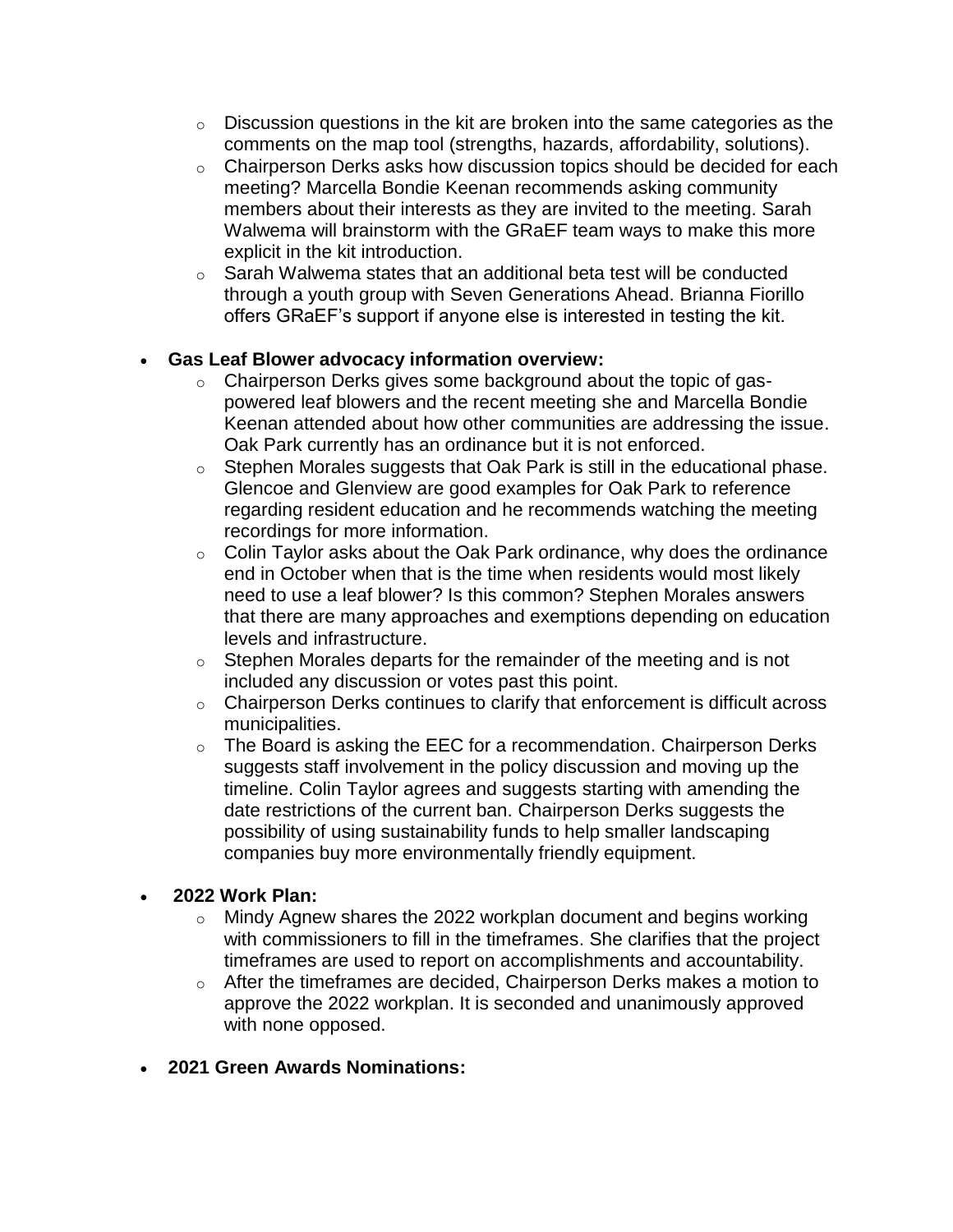- $\circ$  Discussion questions in the kit are broken into the same categories as the comments on the map tool (strengths, hazards, affordability, solutions).
- o Chairperson Derks asks how discussion topics should be decided for each meeting? Marcella Bondie Keenan recommends asking community members about their interests as they are invited to the meeting. Sarah Walwema will brainstorm with the GRaEF team ways to make this more explicit in the kit introduction.
- o Sarah Walwema states that an additional beta test will be conducted through a youth group with Seven Generations Ahead. Brianna Fiorillo offers GRaEF's support if anyone else is interested in testing the kit.

## • **Gas Leaf Blower advocacy information overview:**

- o Chairperson Derks gives some background about the topic of gaspowered leaf blowers and the recent meeting she and Marcella Bondie Keenan attended about how other communities are addressing the issue. Oak Park currently has an ordinance but it is not enforced.
- $\circ$  Stephen Morales suggests that Oak Park is still in the educational phase. Glencoe and Glenview are good examples for Oak Park to reference regarding resident education and he recommends watching the meeting recordings for more information.
- $\circ$  Colin Taylor asks about the Oak Park ordinance, why does the ordinance end in October when that is the time when residents would most likely need to use a leaf blower? Is this common? Stephen Morales answers that there are many approaches and exemptions depending on education levels and infrastructure.
- $\circ$  Stephen Morales departs for the remainder of the meeting and is not included any discussion or votes past this point.
- o Chairperson Derks continues to clarify that enforcement is difficult across municipalities.
- $\circ$  The Board is asking the EEC for a recommendation. Chairperson Derks suggests staff involvement in the policy discussion and moving up the timeline. Colin Taylor agrees and suggests starting with amending the date restrictions of the current ban. Chairperson Derks suggests the possibility of using sustainability funds to help smaller landscaping companies buy more environmentally friendly equipment.

### • **2022 Work Plan:**

- $\circ$  Mindy Agnew shares the 2022 workplan document and begins working with commissioners to fill in the timeframes. She clarifies that the project timeframes are used to report on accomplishments and accountability.
- $\circ$  After the timeframes are decided, Chairperson Derks makes a motion to approve the 2022 workplan. It is seconded and unanimously approved with none opposed.
- **2021 Green Awards Nominations:**